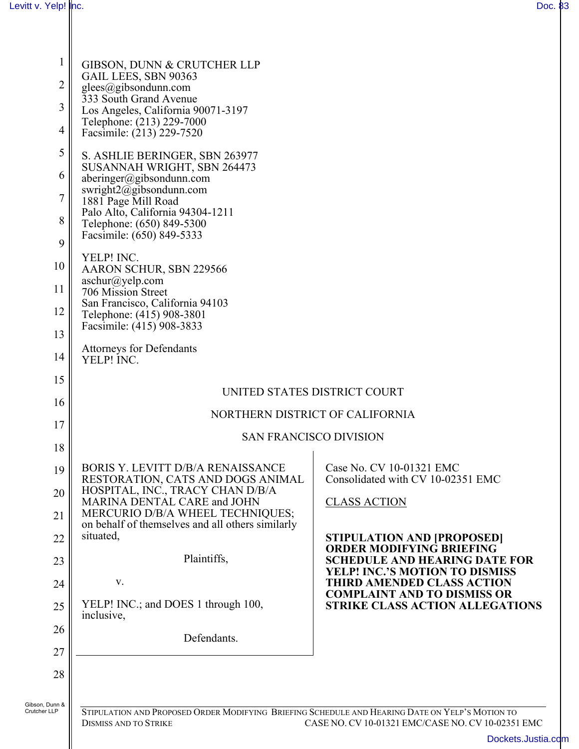| $\mathbf{1}$        | GIBSON, DUNN & CRUTCHER LLP<br>GAIL LEES, SBN 90363                                          |                                                                               |  |  |  |
|---------------------|----------------------------------------------------------------------------------------------|-------------------------------------------------------------------------------|--|--|--|
| $\overline{2}$<br>3 | $g$ lees@gibsondunn.com<br>333 South Grand Avenue                                            |                                                                               |  |  |  |
| $\overline{4}$      | Los Angeles, California 90071-3197<br>Telephone: (213) 229-7000<br>Facsimile: (213) 229-7520 |                                                                               |  |  |  |
| 5                   | S. ASHLIE BERINGER, SBN 263977                                                               |                                                                               |  |  |  |
| 6                   | SUSANNAH WRIGHT, SBN 264473<br>aberinger@gibsondunn.com                                      |                                                                               |  |  |  |
| 7                   | swright $2$ @gibsondunn.com<br>1881 Page Mill Road                                           |                                                                               |  |  |  |
| 8                   | Palo Alto, California 94304-1211<br>Telephone: (650) 849-5300                                |                                                                               |  |  |  |
| 9                   | Facsimile: (650) 849-5333                                                                    |                                                                               |  |  |  |
| 10                  | YELP! INC.<br>AARON SCHUR, SBN 229566                                                        |                                                                               |  |  |  |
| 11                  | $aschur(a)$ yelp.com<br>706 Mission Street                                                   |                                                                               |  |  |  |
| 12                  | San Francisco, California 94103<br>Telephone: (415) 908-3801                                 |                                                                               |  |  |  |
| 13                  | Facsimile: (415) 908-3833                                                                    |                                                                               |  |  |  |
| 14                  | <b>Attorneys for Defendants</b><br>YELP! INC.                                                |                                                                               |  |  |  |
| 15                  |                                                                                              |                                                                               |  |  |  |
| 16                  | UNITED STATES DISTRICT COURT                                                                 |                                                                               |  |  |  |
| 17                  | NORTHERN DISTRICT OF CALIFORNIA                                                              |                                                                               |  |  |  |
| 18                  | <b>SAN FRANCISCO DIVISION</b>                                                                |                                                                               |  |  |  |
| 19                  | <b>BORIS Y. LEVITT D/B/A RENAISSANCE</b><br>RESTORATION, CATS AND DOGS ANIMAL                | Case No. CV 10-01321 EMC<br>Consolidated with CV 10-02351 EMC                 |  |  |  |
| 20                  | HOSPITAL, INC., TRACY CHAN D/B/A<br>MARINA DENTAL CARE and JOHN                              | <b>CLASS ACTION</b>                                                           |  |  |  |
| 21                  | MERCURIO D/B/A WHEEL TECHNIQUES;<br>on behalf of themselves and all others similarly         |                                                                               |  |  |  |
| 22                  | situated,                                                                                    | <b>STIPULATION AND [PROPOSED]</b><br><b>ORDER MODIFYING BRIEFING</b>          |  |  |  |
| 23                  | Plaintiffs,                                                                                  | <b>SCHEDULE AND HEARING DATE FOR</b><br><b>YELP! INC.'S MOTION TO DISMISS</b> |  |  |  |
| 24                  | V.                                                                                           | <b>THIRD AMENDED CLASS ACTION</b><br><b>COMPLAINT AND TO DISMISS OR</b>       |  |  |  |
| 25                  | YELP! INC.; and DOES 1 through 100,<br>inclusive,                                            | <b>STRIKE CLASS ACTION ALLEGATIONS</b>                                        |  |  |  |
| 26                  | Defendants.                                                                                  |                                                                               |  |  |  |
| 27                  |                                                                                              |                                                                               |  |  |  |
| 28                  |                                                                                              |                                                                               |  |  |  |
| Gibson, Dunn &      |                                                                                              |                                                                               |  |  |  |

H

STIPULATION AND PROPOSED ORDER MODIFYING BRIEFING SCHEDULE AND HEARING DATE ON YELP'S MOTION TO DISMISS AND TO STRIKE CASE NO. CV 10-01321 EMC/CASE NO. CV 10-02351 CASE NO. CV 10-01321 EMC/CASE NO. CV 10-02351 EMC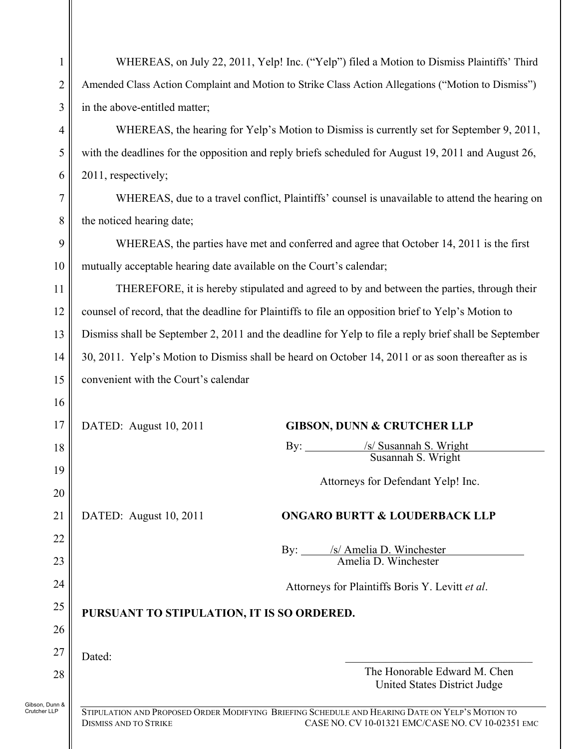| 1                              | WHEREAS, on July 22, 2011, Yelp! Inc. ("Yelp") filed a Motion to Dismiss Plaintiffs' Third                                                                                           |  |  |  |  |  |
|--------------------------------|--------------------------------------------------------------------------------------------------------------------------------------------------------------------------------------|--|--|--|--|--|
| $\overline{2}$                 | Amended Class Action Complaint and Motion to Strike Class Action Allegations ("Motion to Dismiss")                                                                                   |  |  |  |  |  |
| 3                              | in the above-entitled matter;                                                                                                                                                        |  |  |  |  |  |
| 4                              | WHEREAS, the hearing for Yelp's Motion to Dismiss is currently set for September 9, 2011,                                                                                            |  |  |  |  |  |
| 5                              | with the deadlines for the opposition and reply briefs scheduled for August 19, 2011 and August 26,                                                                                  |  |  |  |  |  |
| 6                              | 2011, respectively;                                                                                                                                                                  |  |  |  |  |  |
| 7                              | WHEREAS, due to a travel conflict, Plaintiffs' counsel is unavailable to attend the hearing on                                                                                       |  |  |  |  |  |
| 8                              | the noticed hearing date;                                                                                                                                                            |  |  |  |  |  |
| 9                              | WHEREAS, the parties have met and conferred and agree that October 14, 2011 is the first                                                                                             |  |  |  |  |  |
| 10                             | mutually acceptable hearing date available on the Court's calendar;                                                                                                                  |  |  |  |  |  |
| 11                             | THEREFORE, it is hereby stipulated and agreed to by and between the parties, through their                                                                                           |  |  |  |  |  |
| 12                             | counsel of record, that the deadline for Plaintiffs to file an opposition brief to Yelp's Motion to                                                                                  |  |  |  |  |  |
| 13                             | Dismiss shall be September 2, 2011 and the deadline for Yelp to file a reply brief shall be September                                                                                |  |  |  |  |  |
| 14                             | 30, 2011. Yelp's Motion to Dismiss shall be heard on October 14, 2011 or as soon thereafter as is                                                                                    |  |  |  |  |  |
| 15                             | convenient with the Court's calendar                                                                                                                                                 |  |  |  |  |  |
| 16                             |                                                                                                                                                                                      |  |  |  |  |  |
| 17                             | DATED: August 10, 2011<br><b>GIBSON, DUNN &amp; CRUTCHER LLP</b>                                                                                                                     |  |  |  |  |  |
| 18                             | /s/ Susannah S. Wright<br>By: $\qquad \qquad$<br>Susannah S. Wright                                                                                                                  |  |  |  |  |  |
| 19                             | Attorneys for Defendant Yelp! Inc.                                                                                                                                                   |  |  |  |  |  |
| 20                             |                                                                                                                                                                                      |  |  |  |  |  |
| 21                             | DATED: August 10, 2011<br><b>ONGARO BURTT &amp; LOUDERBACK LLP</b>                                                                                                                   |  |  |  |  |  |
| 22                             |                                                                                                                                                                                      |  |  |  |  |  |
| 23                             | By: <u>/s/ Amelia D. Winchester</u><br>Amelia D. Winchester                                                                                                                          |  |  |  |  |  |
| 24                             | Attorneys for Plaintiffs Boris Y. Levitt et al.                                                                                                                                      |  |  |  |  |  |
| 25                             | PURSUANT TO STIPULATION, IT IS SO ORDERED.                                                                                                                                           |  |  |  |  |  |
| 26                             |                                                                                                                                                                                      |  |  |  |  |  |
| 27                             | Dated:                                                                                                                                                                               |  |  |  |  |  |
| 28                             | The Honorable Edward M. Chen<br>United States District Judge                                                                                                                         |  |  |  |  |  |
| Gibson, Dunn &<br>Crutcher LLP | STIPULATION AND PROPOSED ORDER MODIFYING BRIEFING SCHEDULE AND HEARING DATE ON YELP'S MOTION TO<br>CASE NO. CV 10-01321 EMC/CASE NO. CV 10-02351 EMC<br><b>DISMISS AND TO STRIKE</b> |  |  |  |  |  |